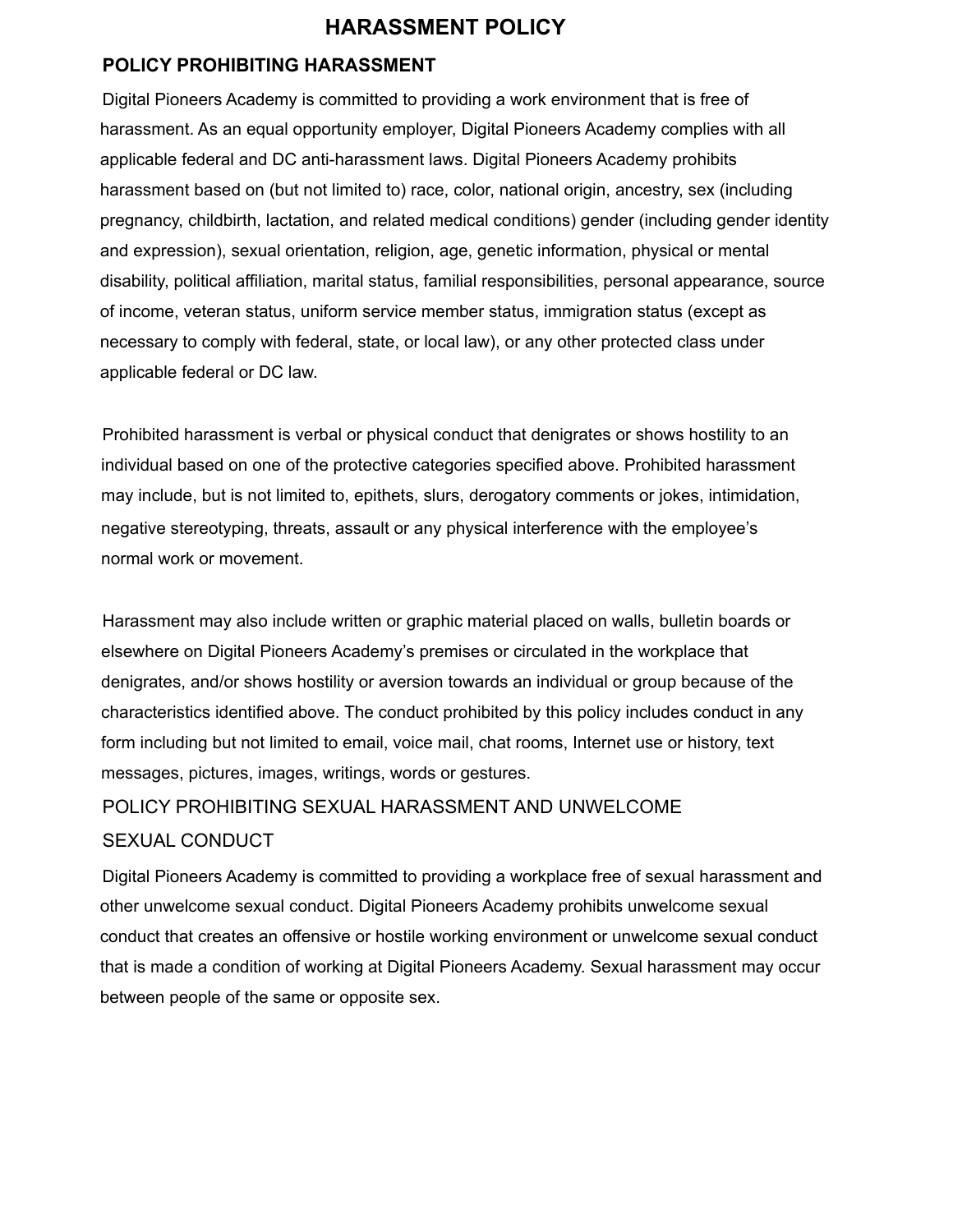# **HARASSMENT POLICY**

## **POLICY PROHIBITING HARASSMENT**

Digital Pioneers Academy is committed to providing a work environment that is free of harassment. As an equal opportunity employer, Digital Pioneers Academy complies with all applicable federal and DC anti-harassment laws. Digital Pioneers Academy prohibits harassment based on (but not limited to) race, color, national origin, ancestry, sex (including pregnancy, childbirth, lactation, and related medical conditions) gender (including gender identity and expression), sexual orientation, religion, age, genetic information, physical or mental disability, political affiliation, marital status, familial responsibilities, personal appearance, source of income, veteran status, uniform service member status, immigration status (except as necessary to comply with federal, state, or local law), or any other protected class under applicable federal or DC law.

Prohibited harassment is verbal or physical conduct that denigrates or shows hostility to an individual based on one of the protective categories specified above. Prohibited harassment may include, but is not limited to, epithets, slurs, derogatory comments or jokes, intimidation, negative stereotyping, threats, assault or any physical interference with the employee's normal work or movement.

Harassment may also include written or graphic material placed on walls, bulletin boards or elsewhere on Digital Pioneers Academy's premises or circulated in the workplace that denigrates, and/or shows hostility or aversion towards an individual or group because of the characteristics identified above. The conduct prohibited by this policy includes conduct in any form including but not limited to email, voice mail, chat rooms, Internet use or history, text messages, pictures, images, writings, words or gestures.

# POLICY PROHIBITING SEXUAL HARASSMENT AND UNWELCOME SEXUAL CONDUCT

Digital Pioneers Academy is committed to providing a workplace free of sexual harassment and other unwelcome sexual conduct. Digital Pioneers Academy prohibits unwelcome sexual conduct that creates an offensive or hostile working environment or unwelcome sexual conduct that is made a condition of working at Digital Pioneers Academy. Sexual harassment may occur between people of the same or opposite sex.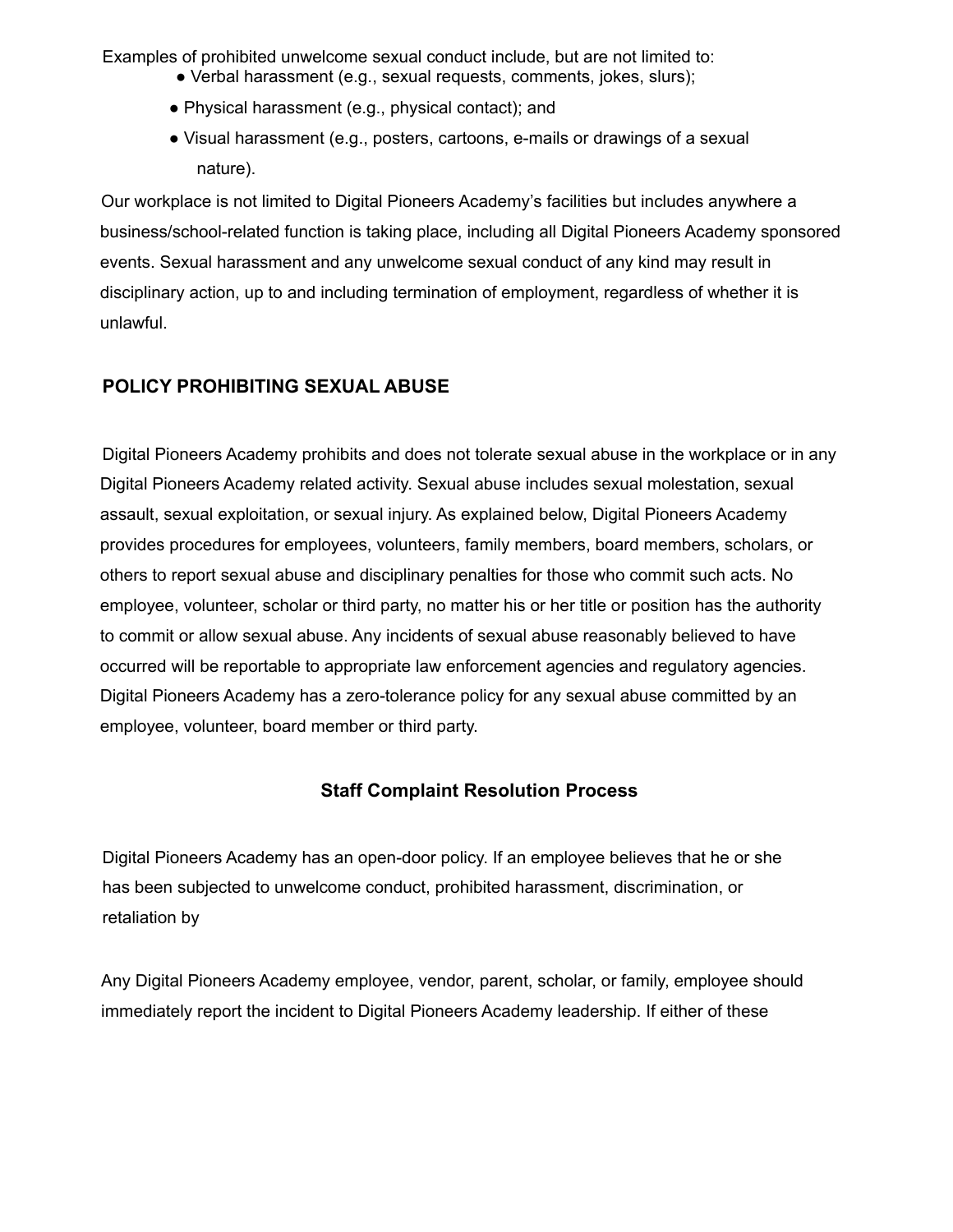Examples of prohibited unwelcome sexual conduct include, but are not limited to:

- Verbal harassment (e.g., sexual requests, comments, jokes, slurs);
- Physical harassment (e.g., physical contact); and
- Visual harassment (e.g., posters, cartoons, e-mails or drawings of a sexual nature).

Our workplace is not limited to Digital Pioneers Academy's facilities but includes anywhere a business/school-related function is taking place, including all Digital Pioneers Academy sponsored events. Sexual harassment and any unwelcome sexual conduct of any kind may result in disciplinary action, up to and including termination of employment, regardless of whether it is unlawful.

# **POLICY PROHIBITING SEXUAL ABUSE**

Digital Pioneers Academy prohibits and does not tolerate sexual abuse in the workplace or in any Digital Pioneers Academy related activity. Sexual abuse includes sexual molestation, sexual assault, sexual exploitation, or sexual injury. As explained below, Digital Pioneers Academy provides procedures for employees, volunteers, family members, board members, scholars, or others to report sexual abuse and disciplinary penalties for those who commit such acts. No employee, volunteer, scholar or third party, no matter his or her title or position has the authority to commit or allow sexual abuse. Any incidents of sexual abuse reasonably believed to have occurred will be reportable to appropriate law enforcement agencies and regulatory agencies. Digital Pioneers Academy has a zero-tolerance policy for any sexual abuse committed by an employee, volunteer, board member or third party.

# **Staff Complaint Resolution Process**

Digital Pioneers Academy has an open-door policy. If an employee believes that he or she has been subjected to unwelcome conduct, prohibited harassment, discrimination, or retaliation by

Any Digital Pioneers Academy employee, vendor, parent, scholar, or family, employee should immediately report the incident to Digital Pioneers Academy leadership. If either of these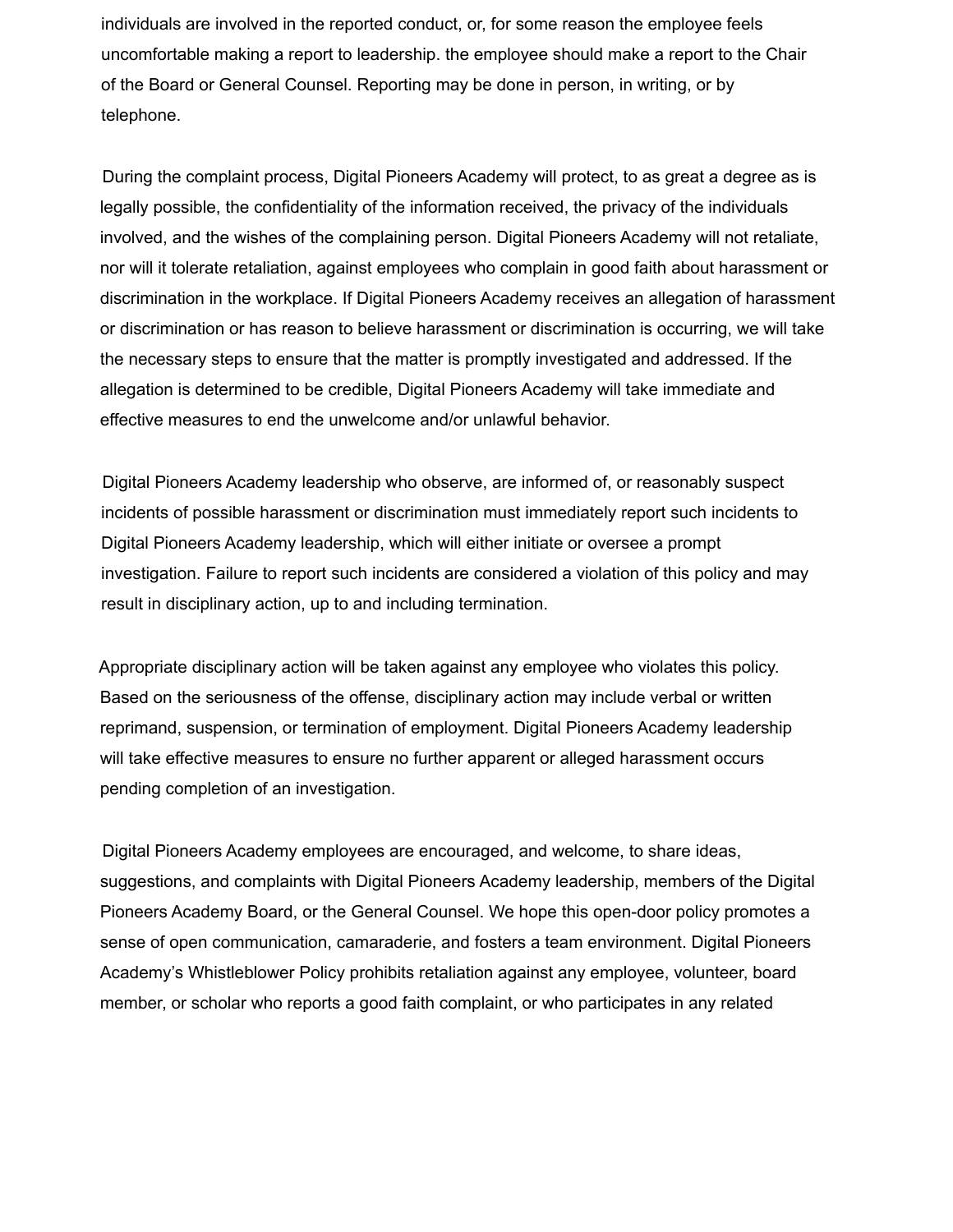individuals are involved in the reported conduct, or, for some reason the employee feels uncomfortable making a report to leadership. the employee should make a report to the Chair of the Board or General Counsel. Reporting may be done in person, in writing, or by telephone.

During the complaint process, Digital Pioneers Academy will protect, to as great a degree as is legally possible, the confidentiality of the information received, the privacy of the individuals involved, and the wishes of the complaining person. Digital Pioneers Academy will not retaliate, nor will it tolerate retaliation, against employees who complain in good faith about harassment or discrimination in the workplace. If Digital Pioneers Academy receives an allegation of harassment or discrimination or has reason to believe harassment or discrimination is occurring, we will take the necessary steps to ensure that the matter is promptly investigated and addressed. If the allegation is determined to be credible, Digital Pioneers Academy will take immediate and effective measures to end the unwelcome and/or unlawful behavior.

Digital Pioneers Academy leadership who observe, are informed of, or reasonably suspect incidents of possible harassment or discrimination must immediately report such incidents to Digital Pioneers Academy leadership, which will either initiate or oversee a prompt investigation. Failure to report such incidents are considered a violation of this policy and may result in disciplinary action, up to and including termination.

Appropriate disciplinary action will be taken against any employee who violates this policy. Based on the seriousness of the offense, disciplinary action may include verbal or written reprimand, suspension, or termination of employment. Digital Pioneers Academy leadership will take effective measures to ensure no further apparent or alleged harassment occurs pending completion of an investigation.

Digital Pioneers Academy employees are encouraged, and welcome, to share ideas, suggestions, and complaints with Digital Pioneers Academy leadership, members of the Digital Pioneers Academy Board, or the General Counsel. We hope this open-door policy promotes a sense of open communication, camaraderie, and fosters a team environment. Digital Pioneers Academy's Whistleblower Policy prohibits retaliation against any employee, volunteer, board member, or scholar who reports a good faith complaint, or who participates in any related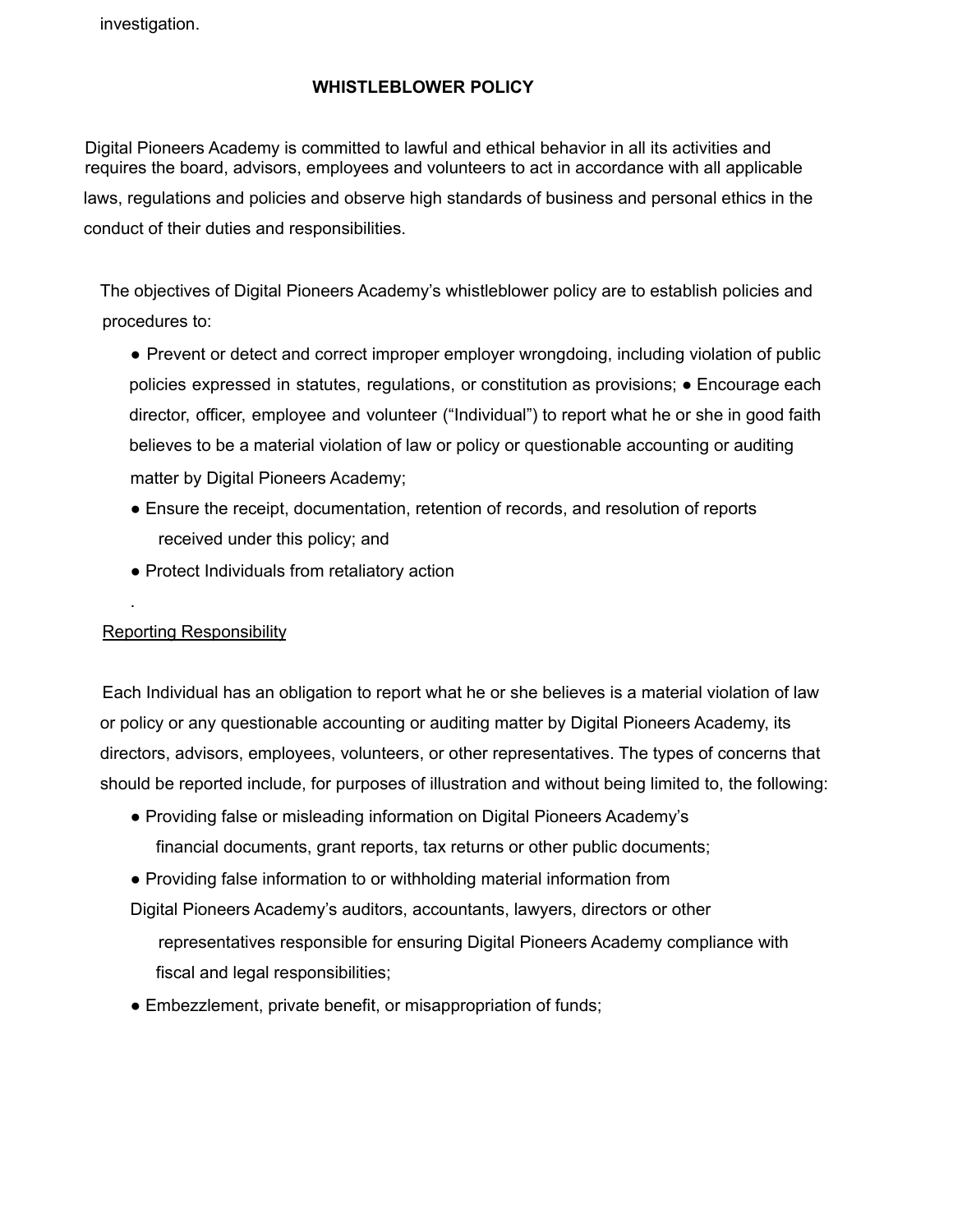investigation.

#### **WHISTLEBLOWER POLICY**

Digital Pioneers Academy is committed to lawful and ethical behavior in all its activities and requires the board, advisors, employees and volunteers to act in accordance with all applicable laws, regulations and policies and observe high standards of business and personal ethics in the conduct of their duties and responsibilities.

The objectives of Digital Pioneers Academy's whistleblower policy are to establish policies and procedures to:

- Prevent or detect and correct improper employer wrongdoing, including violation of public policies expressed in statutes, regulations, or constitution as provisions; ● Encourage each director, officer, employee and volunteer ("Individual") to report what he or she in good faith believes to be a material violation of law or policy or questionable accounting or auditing matter by Digital Pioneers Academy;
- Ensure the receipt, documentation, retention of records, and resolution of reports received under this policy; and
- Protect Individuals from retaliatory action

## Reporting Responsibility

.

Each Individual has an obligation to report what he or she believes is a material violation of law or policy or any questionable accounting or auditing matter by Digital Pioneers Academy, its directors, advisors, employees, volunteers, or other representatives. The types of concerns that should be reported include, for purposes of illustration and without being limited to, the following:

- Providing false or misleading information on Digital Pioneers Academy's financial documents, grant reports, tax returns or other public documents;
- Providing false information to or withholding material information from Digital Pioneers Academy's auditors, accountants, lawyers, directors or other representatives responsible for ensuring Digital Pioneers Academy compliance with fiscal and legal responsibilities;
- Embezzlement, private benefit, or misappropriation of funds;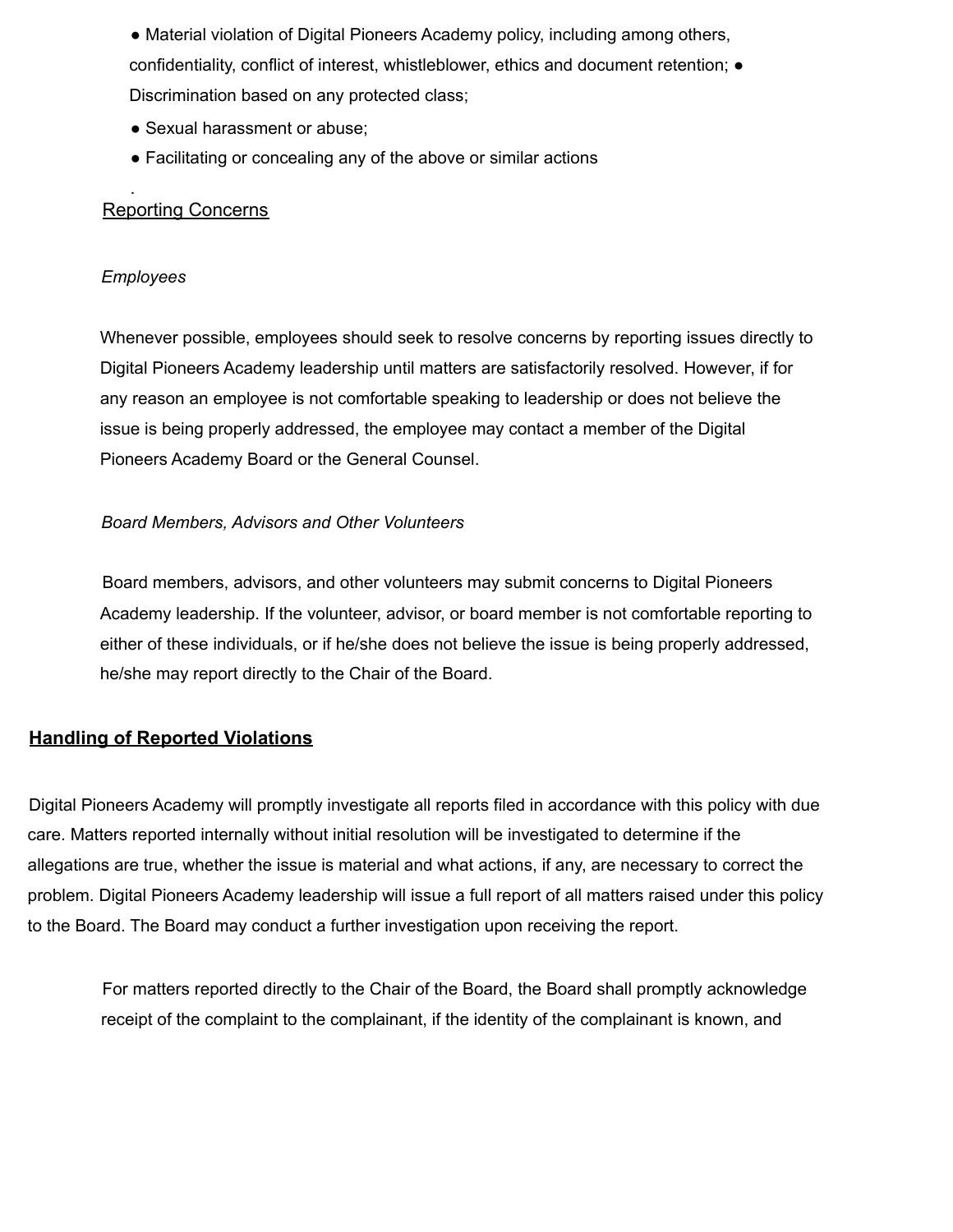• Material violation of Digital Pioneers Academy policy, including among others, confidentiality, conflict of interest, whistleblower, ethics and document retention; ● Discrimination based on any protected class;

- Sexual harassment or abuse;
- Facilitating or concealing any of the above or similar actions

#### . Reporting Concerns

#### *Employees*

Whenever possible, employees should seek to resolve concerns by reporting issues directly to Digital Pioneers Academy leadership until matters are satisfactorily resolved. However, if for any reason an employee is not comfortable speaking to leadership or does not believe the issue is being properly addressed, the employee may contact a member of the Digital Pioneers Academy Board or the General Counsel.

#### *Board Members, Advisors and Other Volunteers*

Board members, advisors, and other volunteers may submit concerns to Digital Pioneers Academy leadership. If the volunteer, advisor, or board member is not comfortable reporting to either of these individuals, or if he/she does not believe the issue is being properly addressed, he/she may report directly to the Chair of the Board.

# **Handling of Reported Violations**

Digital Pioneers Academy will promptly investigate all reports filed in accordance with this policy with due care. Matters reported internally without initial resolution will be investigated to determine if the allegations are true, whether the issue is material and what actions, if any, are necessary to correct the problem. Digital Pioneers Academy leadership will issue a full report of all matters raised under this policy to the Board. The Board may conduct a further investigation upon receiving the report.

For matters reported directly to the Chair of the Board, the Board shall promptly acknowledge receipt of the complaint to the complainant, if the identity of the complainant is known, and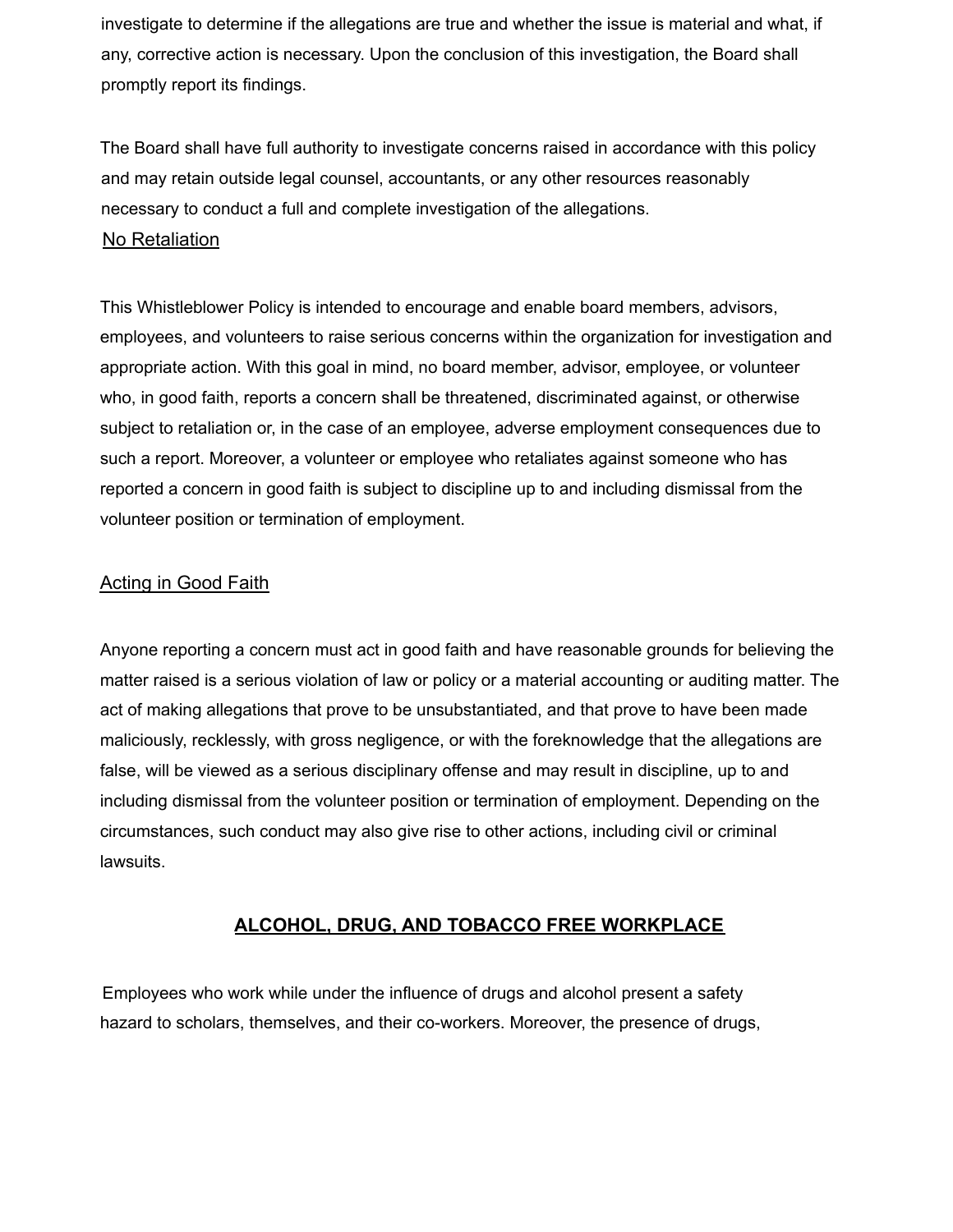investigate to determine if the allegations are true and whether the issue is material and what, if any, corrective action is necessary. Upon the conclusion of this investigation, the Board shall promptly report its findings.

The Board shall have full authority to investigate concerns raised in accordance with this policy and may retain outside legal counsel, accountants, or any other resources reasonably necessary to conduct a full and complete investigation of the allegations.

## No Retaliation

This Whistleblower Policy is intended to encourage and enable board members, advisors, employees, and volunteers to raise serious concerns within the organization for investigation and appropriate action. With this goal in mind, no board member, advisor, employee, or volunteer who, in good faith, reports a concern shall be threatened, discriminated against, or otherwise subject to retaliation or, in the case of an employee, adverse employment consequences due to such a report. Moreover, a volunteer or employee who retaliates against someone who has reported a concern in good faith is subject to discipline up to and including dismissal from the volunteer position or termination of employment.

## Acting in Good Faith

Anyone reporting a concern must act in good faith and have reasonable grounds for believing the matter raised is a serious violation of law or policy or a material accounting or auditing matter. The act of making allegations that prove to be unsubstantiated, and that prove to have been made maliciously, recklessly, with gross negligence, or with the foreknowledge that the allegations are false, will be viewed as a serious disciplinary offense and may result in discipline, up to and including dismissal from the volunteer position or termination of employment. Depending on the circumstances, such conduct may also give rise to other actions, including civil or criminal lawsuits.

## **ALCOHOL, DRUG, AND TOBACCO FREE WORKPLACE**

Employees who work while under the influence of drugs and alcohol present a safety hazard to scholars, themselves, and their co-workers. Moreover, the presence of drugs,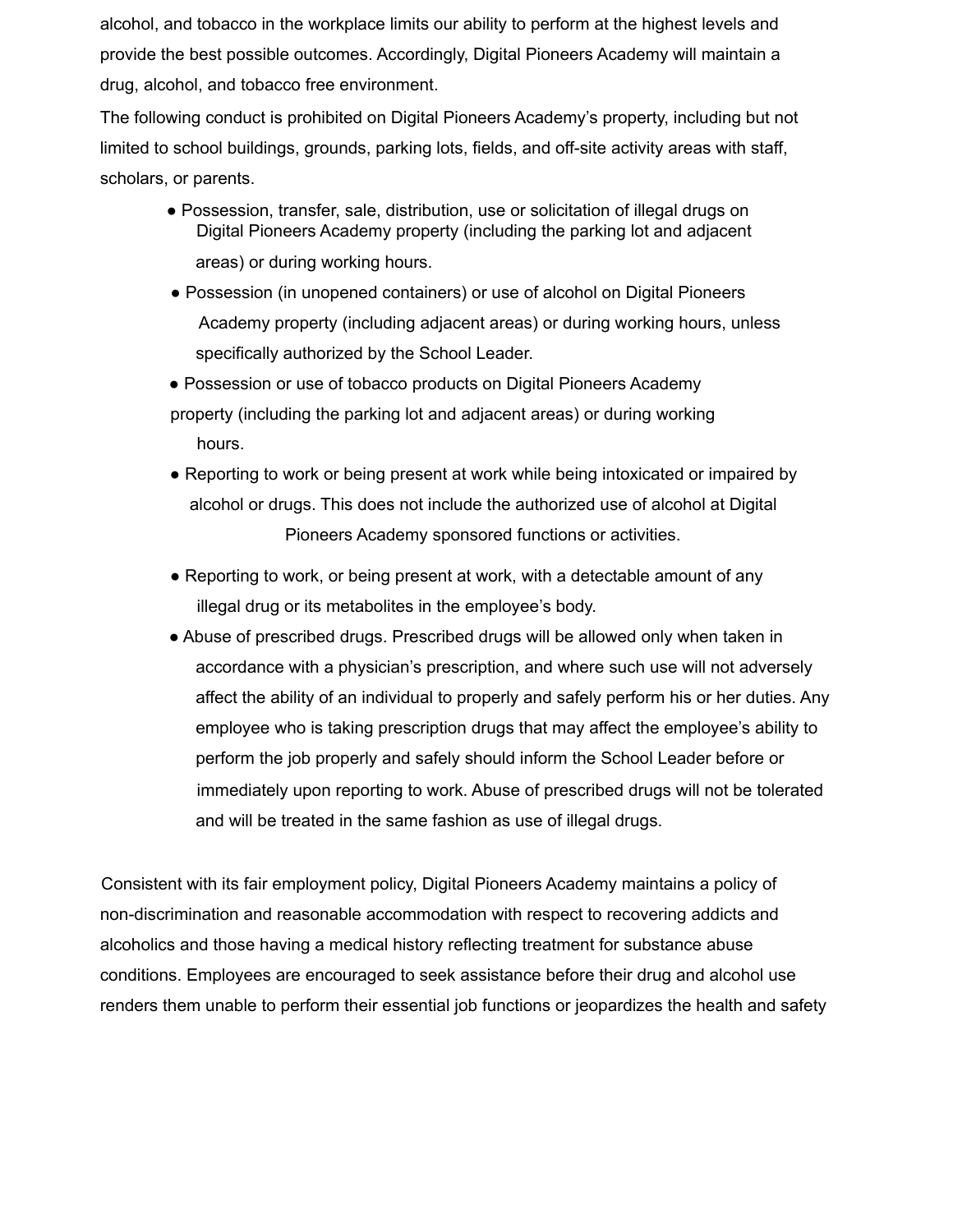alcohol, and tobacco in the workplace limits our ability to perform at the highest levels and provide the best possible outcomes. Accordingly, Digital Pioneers Academy will maintain a drug, alcohol, and tobacco free environment.

The following conduct is prohibited on Digital Pioneers Academy's property, including but not limited to school buildings, grounds, parking lots, fields, and off-site activity areas with staff, scholars, or parents.

- Possession, transfer, sale, distribution, use or solicitation of illegal drugs on Digital Pioneers Academy property (including the parking lot and adjacent areas) or during working hours.
- Possession (in unopened containers) or use of alcohol on Digital Pioneers Academy property (including adjacent areas) or during working hours, unless specifically authorized by the School Leader.
- Possession or use of tobacco products on Digital Pioneers Academy property (including the parking lot and adjacent areas) or during working hours.
- Reporting to work or being present at work while being intoxicated or impaired by alcohol or drugs. This does not include the authorized use of alcohol at Digital Pioneers Academy sponsored functions or activities.
- Reporting to work, or being present at work, with a detectable amount of any illegal drug or its metabolites in the employee's body.
- Abuse of prescribed drugs. Prescribed drugs will be allowed only when taken in accordance with a physician's prescription, and where such use will not adversely affect the ability of an individual to properly and safely perform his or her duties. Any employee who is taking prescription drugs that may affect the employee's ability to perform the job properly and safely should inform the School Leader before or immediately upon reporting to work. Abuse of prescribed drugs will not be tolerated and will be treated in the same fashion as use of illegal drugs.

Consistent with its fair employment policy, Digital Pioneers Academy maintains a policy of non-discrimination and reasonable accommodation with respect to recovering addicts and alcoholics and those having a medical history reflecting treatment for substance abuse conditions. Employees are encouraged to seek assistance before their drug and alcohol use renders them unable to perform their essential job functions or jeopardizes the health and safety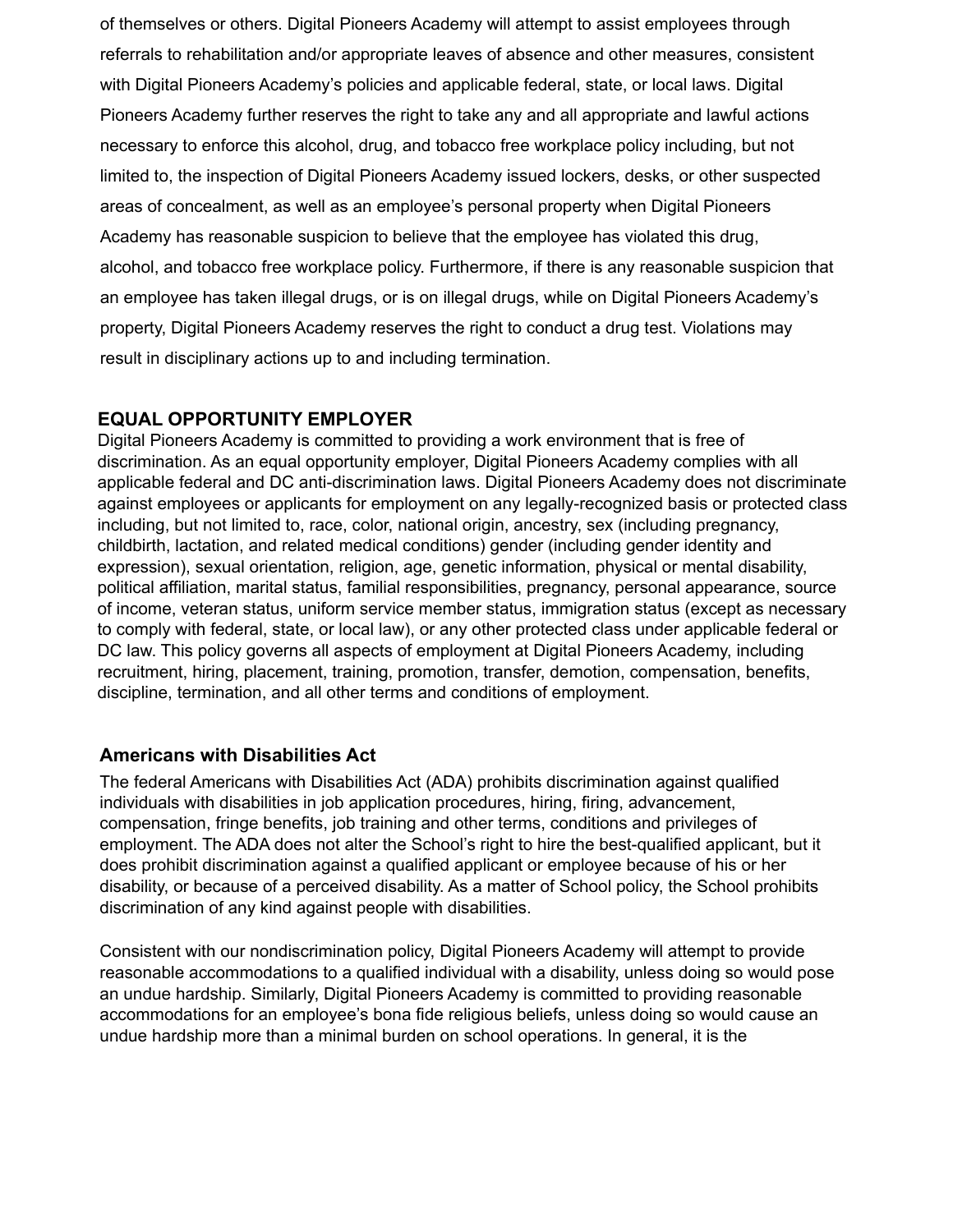of themselves or others. Digital Pioneers Academy will attempt to assist employees through referrals to rehabilitation and/or appropriate leaves of absence and other measures, consistent with Digital Pioneers Academy's policies and applicable federal, state, or local laws. Digital Pioneers Academy further reserves the right to take any and all appropriate and lawful actions necessary to enforce this alcohol, drug, and tobacco free workplace policy including, but not limited to, the inspection of Digital Pioneers Academy issued lockers, desks, or other suspected areas of concealment, as well as an employee's personal property when Digital Pioneers Academy has reasonable suspicion to believe that the employee has violated this drug, alcohol, and tobacco free workplace policy. Furthermore, if there is any reasonable suspicion that an employee has taken illegal drugs, or is on illegal drugs, while on Digital Pioneers Academy's property, Digital Pioneers Academy reserves the right to conduct a drug test. Violations may result in disciplinary actions up to and including termination.

## **EQUAL OPPORTUNITY EMPLOYER**

Digital Pioneers Academy is committed to providing a work environment that is free of discrimination. As an equal opportunity employer, Digital Pioneers Academy complies with all applicable federal and DC anti-discrimination laws. Digital Pioneers Academy does not discriminate against employees or applicants for employment on any legally-recognized basis or protected class including, but not limited to, race, color, national origin, ancestry, sex (including pregnancy, childbirth, lactation, and related medical conditions) gender (including gender identity and expression), sexual orientation, religion, age, genetic information, physical or mental disability, political affiliation, marital status, familial responsibilities, pregnancy, personal appearance, source of income, veteran status, uniform service member status, immigration status (except as necessary to comply with federal, state, or local law), or any other protected class under applicable federal or DC law. This policy governs all aspects of employment at Digital Pioneers Academy, including recruitment, hiring, placement, training, promotion, transfer, demotion, compensation, benefits, discipline, termination, and all other terms and conditions of employment.

## **Americans with Disabilities Act**

The federal Americans with Disabilities Act (ADA) prohibits discrimination against qualified individuals with disabilities in job application procedures, hiring, firing, advancement, compensation, fringe benefits, job training and other terms, conditions and privileges of employment. The ADA does not alter the School's right to hire the best-qualified applicant, but it does prohibit discrimination against a qualified applicant or employee because of his or her disability, or because of a perceived disability. As a matter of School policy, the School prohibits discrimination of any kind against people with disabilities.

Consistent with our nondiscrimination policy, Digital Pioneers Academy will attempt to provide reasonable accommodations to a qualified individual with a disability, unless doing so would pose an undue hardship. Similarly, Digital Pioneers Academy is committed to providing reasonable accommodations for an employee's bona fide religious beliefs, unless doing so would cause an undue hardship more than a minimal burden on school operations. In general, it is the